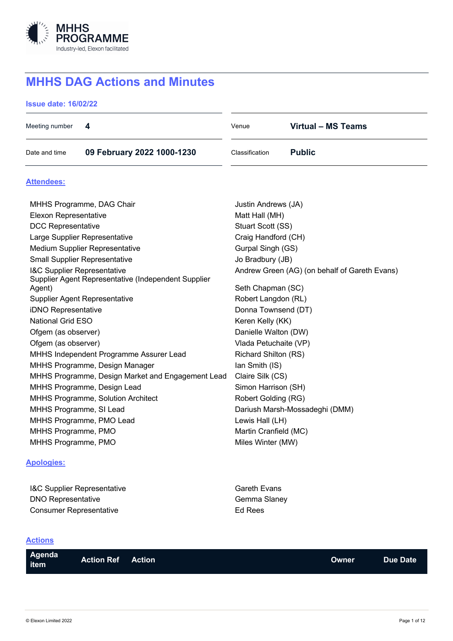

# **MHHS DAG Actions and Minutes**

## **Issue date: 16/02/22**

| Meeting number<br>4                                           | <b>Virtual - MS Teams</b><br>Venue            |  |  |
|---------------------------------------------------------------|-----------------------------------------------|--|--|
| Date and time<br>09 February 2022 1000-1230                   | Classification<br><b>Public</b>               |  |  |
| <b>Attendees:</b>                                             |                                               |  |  |
| MHHS Programme, DAG Chair                                     | Justin Andrews (JA)                           |  |  |
| <b>Elexon Representative</b>                                  | Matt Hall (MH)                                |  |  |
| <b>DCC Representative</b>                                     | Stuart Scott (SS)                             |  |  |
| Large Supplier Representative                                 | Craig Handford (CH)                           |  |  |
| Medium Supplier Representative                                | Gurpal Singh (GS)                             |  |  |
| <b>Small Supplier Representative</b>                          | Jo Bradbury (JB)                              |  |  |
| <b>I&amp;C Supplier Representative</b>                        | Andrew Green (AG) (on behalf of Gareth Evans) |  |  |
| Supplier Agent Representative (Independent Supplier<br>Agent) | Seth Chapman (SC)                             |  |  |
| <b>Supplier Agent Representative</b>                          | Robert Langdon (RL)                           |  |  |
| iDNO Representative                                           | Donna Townsend (DT)                           |  |  |
| <b>National Grid ESO</b>                                      | Keren Kelly (KK)                              |  |  |
| Ofgem (as observer)                                           | Danielle Walton (DW)                          |  |  |
| Ofgem (as observer)                                           | Vlada Petuchaite (VP)                         |  |  |
| MHHS Independent Programme Assurer Lead                       | <b>Richard Shilton (RS)</b>                   |  |  |
| MHHS Programme, Design Manager                                | lan Smith (IS)                                |  |  |
| MHHS Programme, Design Market and Engagement Lead             | Claire Silk (CS)                              |  |  |
| MHHS Programme, Design Lead                                   | Simon Harrison (SH)                           |  |  |
| <b>MHHS Programme, Solution Architect</b>                     | Robert Golding (RG)                           |  |  |
| MHHS Programme, SI Lead                                       | Dariush Marsh-Mossadeghi (DMM)                |  |  |
| MHHS Programme, PMO Lead                                      | Lewis Hall (LH)                               |  |  |
| MHHS Programme, PMO                                           | Martin Cranfield (MC)                         |  |  |
| MHHS Programme, PMO                                           | Miles Winter (MW)                             |  |  |
|                                                               |                                               |  |  |

## **Apologies:**

| <b>I&amp;C Supplier Representative</b> | <b>Gareth Evans</b> |
|----------------------------------------|---------------------|
| <b>DNO Representative</b>              | Gemma Slaney        |
| Consumer Representative                | Ed Rees             |

## **Actions**

|  | Agenda <sup>1</sup><br>item | <b>Action Ref</b> | <b>Action</b> |  | <b>Owner</b> | <b>Due Date</b> |
|--|-----------------------------|-------------------|---------------|--|--------------|-----------------|
|--|-----------------------------|-------------------|---------------|--|--------------|-----------------|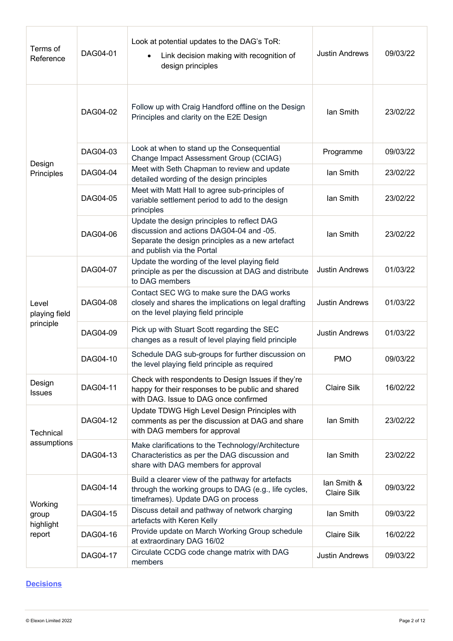| Terms of<br>Reference               | DAG04-01 | Look at potential updates to the DAG's ToR:<br>Link decision making with recognition of<br>design principles                                                              | <b>Justin Andrews</b>             | 09/03/22 |
|-------------------------------------|----------|---------------------------------------------------------------------------------------------------------------------------------------------------------------------------|-----------------------------------|----------|
|                                     | DAG04-02 | Follow up with Craig Handford offline on the Design<br>Principles and clarity on the E2E Design                                                                           | lan Smith                         | 23/02/22 |
|                                     | DAG04-03 | Look at when to stand up the Consequential<br>Change Impact Assessment Group (CCIAG)                                                                                      | Programme                         | 09/03/22 |
| Design<br>Principles                | DAG04-04 | Meet with Seth Chapman to review and update<br>detailed wording of the design principles                                                                                  | lan Smith                         | 23/02/22 |
|                                     | DAG04-05 | Meet with Matt Hall to agree sub-principles of<br>variable settlement period to add to the design<br>principles                                                           | lan Smith                         | 23/02/22 |
|                                     | DAG04-06 | Update the design principles to reflect DAG<br>discussion and actions DAG04-04 and -05.<br>Separate the design principles as a new artefact<br>and publish via the Portal | lan Smith                         | 23/02/22 |
| Level<br>playing field<br>principle | DAG04-07 | Update the wording of the level playing field<br>principle as per the discussion at DAG and distribute<br>to DAG members                                                  | <b>Justin Andrews</b>             | 01/03/22 |
|                                     | DAG04-08 | Contact SEC WG to make sure the DAG works<br>closely and shares the implications on legal drafting<br>on the level playing field principle                                | <b>Justin Andrews</b>             | 01/03/22 |
|                                     | DAG04-09 | Pick up with Stuart Scott regarding the SEC<br>changes as a result of level playing field principle                                                                       | <b>Justin Andrews</b>             | 01/03/22 |
|                                     | DAG04-10 | Schedule DAG sub-groups for further discussion on<br>the level playing field principle as required                                                                        | <b>PMO</b>                        | 09/03/22 |
| Design<br>Issues                    | DAG04-11 | Check with respondents to Design Issues if they're<br>happy for their responses to be public and shared<br>with DAG. Issue to DAG once confirmed                          | Claire Silk                       | 16/02/22 |
| Technical<br>assumptions            | DAG04-12 | Update TDWG High Level Design Principles with<br>comments as per the discussion at DAG and share<br>with DAG members for approval                                         | lan Smith                         | 23/02/22 |
|                                     | DAG04-13 | Make clarifications to the Technology/Architecture<br>Characteristics as per the DAG discussion and<br>share with DAG members for approval                                | lan Smith                         | 23/02/22 |
| Working<br>group<br>highlight       | DAG04-14 | Build a clearer view of the pathway for artefacts<br>through the working groups to DAG (e.g., life cycles,<br>timeframes). Update DAG on process                          | lan Smith &<br><b>Claire Silk</b> | 09/03/22 |
|                                     | DAG04-15 | Discuss detail and pathway of network charging<br>artefacts with Keren Kelly                                                                                              | lan Smith                         | 09/03/22 |
| report                              | DAG04-16 | Provide update on March Working Group schedule<br>at extraordinary DAG 16/02                                                                                              | <b>Claire Silk</b>                | 16/02/22 |
|                                     | DAG04-17 | Circulate CCDG code change matrix with DAG<br>members                                                                                                                     | <b>Justin Andrews</b>             | 09/03/22 |

## **Decisions**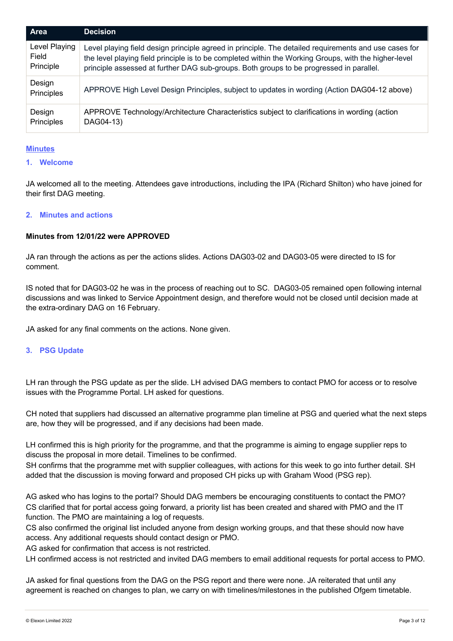| Area                 | <b>Decision</b>                                                                                       |
|----------------------|-------------------------------------------------------------------------------------------------------|
| Level Playing        | Level playing field design principle agreed in principle. The detailed requirements and use cases for |
| Field                | the level playing field principle is to be completed within the Working Groups, with the higher-level |
| Principle            | principle assessed at further DAG sub-groups. Both groups to be progressed in parallel.               |
| Design<br>Principles | APPROVE High Level Design Principles, subject to updates in wording (Action DAG04-12 above)           |
| Design               | APPROVE Technology/Architecture Characteristics subject to clarifications in wording (action          |
| Principles           | DAG04-13)                                                                                             |

#### **Minutes**

#### **1. Welcome**

JA welcomed all to the meeting. Attendees gave introductions, including the IPA (Richard Shilton) who have joined for their first DAG meeting.

#### **2. Minutes and actions**

#### **Minutes from 12/01/22 were APPROVED**

JA ran through the actions as per the actions slides. Actions DAG03-02 and DAG03-05 were directed to IS for comment.

IS noted that for DAG03-02 he was in the process of reaching out to SC. DAG03-05 remained open following internal discussions and was linked to Service Appointment design, and therefore would not be closed until decision made at the extra-ordinary DAG on 16 February.

JA asked for any final comments on the actions. None given.

#### **3. PSG Update**

LH ran through the PSG update as per the slide. LH advised DAG members to contact PMO for access or to resolve issues with the Programme Portal. LH asked for questions.

CH noted that suppliers had discussed an alternative programme plan timeline at PSG and queried what the next steps are, how they will be progressed, and if any decisions had been made.

LH confirmed this is high priority for the programme, and that the programme is aiming to engage supplier reps to discuss the proposal in more detail. Timelines to be confirmed.

SH confirms that the programme met with supplier colleagues, with actions for this week to go into further detail. SH added that the discussion is moving forward and proposed CH picks up with Graham Wood (PSG rep).

AG asked who has logins to the portal? Should DAG members be encouraging constituents to contact the PMO? CS clarified that for portal access going forward, a priority list has been created and shared with PMO and the IT function. The PMO are maintaining a log of requests.

CS also confirmed the original list included anyone from design working groups, and that these should now have access. Any additional requests should contact design or PMO.

AG asked for confirmation that access is not restricted.

LH confirmed access is not restricted and invited DAG members to email additional requests for portal access to PMO.

JA asked for final questions from the DAG on the PSG report and there were none. JA reiterated that until any agreement is reached on changes to plan, we carry on with timelines/milestones in the published Ofgem timetable.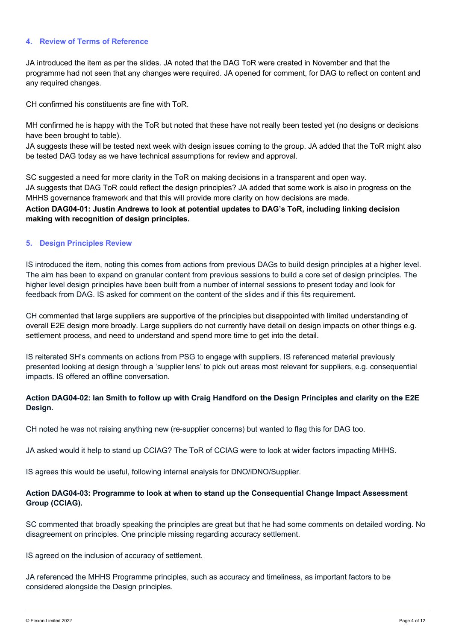#### **4. Review of Terms of Reference**

JA introduced the item as per the slides. JA noted that the DAG ToR were created in November and that the programme had not seen that any changes were required. JA opened for comment, for DAG to reflect on content and any required changes.

CH confirmed his constituents are fine with ToR.

MH confirmed he is happy with the ToR but noted that these have not really been tested yet (no designs or decisions have been brought to table).

JA suggests these will be tested next week with design issues coming to the group. JA added that the ToR might also be tested DAG today as we have technical assumptions for review and approval.

SC suggested a need for more clarity in the ToR on making decisions in a transparent and open way. JA suggests that DAG ToR could reflect the design principles? JA added that some work is also in progress on the MHHS governance framework and that this will provide more clarity on how decisions are made.

**Action DAG04-01: Justin Andrews to look at potential updates to DAG's ToR, including linking decision making with recognition of design principles.**

#### **5. Design Principles Review**

IS introduced the item, noting this comes from actions from previous DAGs to build design principles at a higher level. The aim has been to expand on granular content from previous sessions to build a core set of design principles. The higher level design principles have been built from a number of internal sessions to present today and look for feedback from DAG. IS asked for comment on the content of the slides and if this fits requirement.

CH commented that large suppliers are supportive of the principles but disappointed with limited understanding of overall E2E design more broadly. Large suppliers do not currently have detail on design impacts on other things e.g. settlement process, and need to understand and spend more time to get into the detail.

IS reiterated SH's comments on actions from PSG to engage with suppliers. IS referenced material previously presented looking at design through a 'supplier lens' to pick out areas most relevant for suppliers, e.g. consequential impacts. IS offered an offline conversation.

## **Action DAG04-02: Ian Smith to follow up with Craig Handford on the Design Principles and clarity on the E2E Design.**

CH noted he was not raising anything new (re-supplier concerns) but wanted to flag this for DAG too.

JA asked would it help to stand up CCIAG? The ToR of CCIAG were to look at wider factors impacting MHHS.

IS agrees this would be useful, following internal analysis for DNO/iDNO/Supplier.

#### **Action DAG04-03: Programme to look at when to stand up the Consequential Change Impact Assessment Group (CCIAG).**

SC commented that broadly speaking the principles are great but that he had some comments on detailed wording. No disagreement on principles. One principle missing regarding accuracy settlement.

IS agreed on the inclusion of accuracy of settlement.

JA referenced the MHHS Programme principles, such as accuracy and timeliness, as important factors to be considered alongside the Design principles.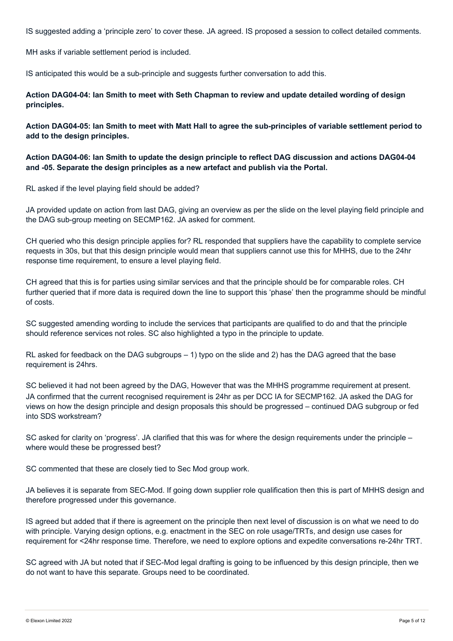IS suggested adding a 'principle zero' to cover these. JA agreed. IS proposed a session to collect detailed comments.

MH asks if variable settlement period is included.

IS anticipated this would be a sub-principle and suggests further conversation to add this.

**Action DAG04-04: Ian Smith to meet with Seth Chapman to review and update detailed wording of design principles.**

**Action DAG04-05: Ian Smith to meet with Matt Hall to agree the sub-principles of variable settlement period to add to the design principles.**

**Action DAG04-06: Ian Smith to update the design principle to reflect DAG discussion and actions DAG04-04 and -05. Separate the design principles as a new artefact and publish via the Portal.** 

RL asked if the level playing field should be added?

JA provided update on action from last DAG, giving an overview as per the slide on the level playing field principle and the DAG sub-group meeting on SECMP162. JA asked for comment.

CH queried who this design principle applies for? RL responded that suppliers have the capability to complete service requests in 30s, but that this design principle would mean that suppliers cannot use this for MHHS, due to the 24hr response time requirement, to ensure a level playing field.

CH agreed that this is for parties using similar services and that the principle should be for comparable roles. CH further queried that if more data is required down the line to support this 'phase' then the programme should be mindful of costs.

SC suggested amending wording to include the services that participants are qualified to do and that the principle should reference services not roles. SC also highlighted a typo in the principle to update.

RL asked for feedback on the DAG subgroups – 1) typo on the slide and 2) has the DAG agreed that the base requirement is 24hrs.

SC believed it had not been agreed by the DAG, However that was the MHHS programme requirement at present. JA confirmed that the current recognised requirement is 24hr as per DCC IA for SECMP162. JA asked the DAG for views on how the design principle and design proposals this should be progressed – continued DAG subgroup or fed into SDS workstream?

SC asked for clarity on 'progress'. JA clarified that this was for where the design requirements under the principle – where would these be progressed best?

SC commented that these are closely tied to Sec Mod group work.

JA believes it is separate from SEC-Mod. If going down supplier role qualification then this is part of MHHS design and therefore progressed under this governance.

IS agreed but added that if there is agreement on the principle then next level of discussion is on what we need to do with principle. Varying design options, e.g. enactment in the SEC on role usage/TRTs, and design use cases for requirement for <24hr response time. Therefore, we need to explore options and expedite conversations re-24hr TRT.

SC agreed with JA but noted that if SEC-Mod legal drafting is going to be influenced by this design principle, then we do not want to have this separate. Groups need to be coordinated.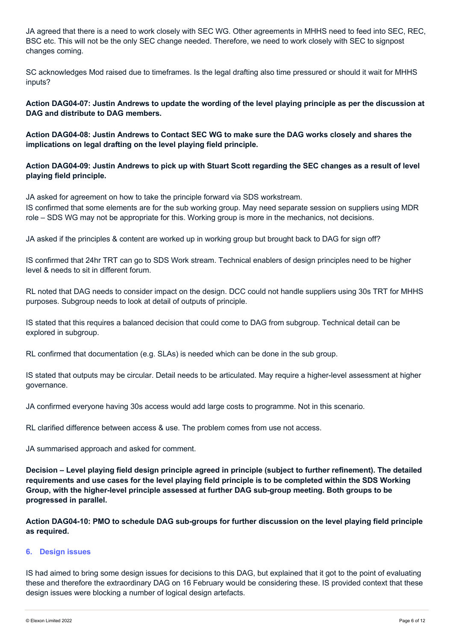JA agreed that there is a need to work closely with SEC WG. Other agreements in MHHS need to feed into SEC, REC, BSC etc. This will not be the only SEC change needed. Therefore, we need to work closely with SEC to signpost changes coming.

SC acknowledges Mod raised due to timeframes. Is the legal drafting also time pressured or should it wait for MHHS inputs?

**Action DAG04-07: Justin Andrews to update the wording of the level playing principle as per the discussion at DAG and distribute to DAG members.**

**Action DAG04-08: Justin Andrews to Contact SEC WG to make sure the DAG works closely and shares the implications on legal drafting on the level playing field principle.**

## **Action DAG04-09: Justin Andrews to pick up with Stuart Scott regarding the SEC changes as a result of level playing field principle.**

JA asked for agreement on how to take the principle forward via SDS workstream.

IS confirmed that some elements are for the sub working group. May need separate session on suppliers using MDR role – SDS WG may not be appropriate for this. Working group is more in the mechanics, not decisions.

JA asked if the principles & content are worked up in working group but brought back to DAG for sign off?

IS confirmed that 24hr TRT can go to SDS Work stream. Technical enablers of design principles need to be higher level & needs to sit in different forum.

RL noted that DAG needs to consider impact on the design. DCC could not handle suppliers using 30s TRT for MHHS purposes. Subgroup needs to look at detail of outputs of principle.

IS stated that this requires a balanced decision that could come to DAG from subgroup. Technical detail can be explored in subgroup.

RL confirmed that documentation (e.g. SLAs) is needed which can be done in the sub group.

IS stated that outputs may be circular. Detail needs to be articulated. May require a higher-level assessment at higher governance.

JA confirmed everyone having 30s access would add large costs to programme. Not in this scenario.

RL clarified difference between access & use. The problem comes from use not access.

JA summarised approach and asked for comment.

**Decision – Level playing field design principle agreed in principle (subject to further refinement). The detailed requirements and use cases for the level playing field principle is to be completed within the SDS Working Group, with the higher-level principle assessed at further DAG sub-group meeting. Both groups to be progressed in parallel.**

**Action DAG04-10: PMO to schedule DAG sub-groups for further discussion on the level playing field principle as required.**

#### **6. Design issues**

IS had aimed to bring some design issues for decisions to this DAG, but explained that it got to the point of evaluating these and therefore the extraordinary DAG on 16 February would be considering these. IS provided context that these design issues were blocking a number of logical design artefacts.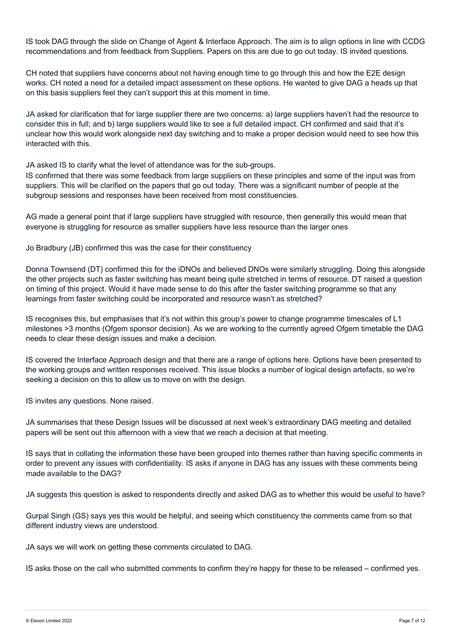IS took DAG through the slide on Change of Agent & Interface Approach. The aim is to align options in line with CCDG recommendations and from feedback from Suppliers. Papers on this are due to go out today. IS invited questions.

CH noted that suppliers have concerns about not having enough time to go through this and how the E2E design works. CH noted a need for a detailed impact assessment on these options. He wanted to give DAG a heads up that on this basis suppliers feel they can't support this at this moment in time.

JA asked for clarification that for large supplier there are two concerns: a) large suppliers haven't had the resource to consider this in full; and b) large suppliers would like to see a full detailed impact. CH confirmed and said that it's unclear how this would work alongside next day switching and to make a proper decision would need to see how this interacted with this.

JA asked IS to clarify what the level of attendance was for the sub-groups.

IS confirmed that there was some feedback from large suppliers on these principles and some of the input was from suppliers. This will be clarified on the papers that go out today. There was a significant number of people at the subgroup sessions and responses have been received from most constituencies.

AG made a general point that if large suppliers have struggled with resource, then generally this would mean that everyone is struggling for resource as smaller suppliers have less resource than the larger ones

Jo Bradbury (JB) confirmed this was the case for their constituency

Donna Townsend (DT) confirmed this for the iDNOs and believed DNOs were similarly struggling. Doing this alongside the other projects such as faster switching has meant being quite stretched in terms of resource. DT raised a question on timing of this project. Would it have made sense to do this after the faster switching programme so that any learnings from faster switching could be incorporated and resource wasn't as stretched?

IS recognises this, but emphasises that it's not within this group's power to change programme timescales of L1 milestones >3 months (Ofgem sponsor decision). As we are working to the currently agreed Ofgem timetable the DAG needs to clear these design issues and make a decision.

IS covered the Interface Approach design and that there are a range of options here. Options have been presented to the working groups and written responses received. This issue blocks a number of logical design artefacts, so we're seeking a decision on this to allow us to move on with the design.

IS invites any questions. None raised.

JA summarises that these Design Issues will be discussed at next week's extraordinary DAG meeting and detailed papers will be sent out this afternoon with a view that we reach a decision at that meeting.

IS says that in collating the information these have been grouped into themes rather than having specific comments in order to prevent any issues with confidentiality. IS asks if anyone in DAG has any issues with these comments being made available to the DAG?

JA suggests this question is asked to respondents directly and asked DAG as to whether this would be useful to have?

Gurpal Singh (GS) says yes this would be helpful, and seeing which constituency the comments came from so that different industry views are understood.

JA says we will work on getting these comments circulated to DAG.

IS asks those on the call who submitted comments to confirm they're happy for these to be released – confirmed yes.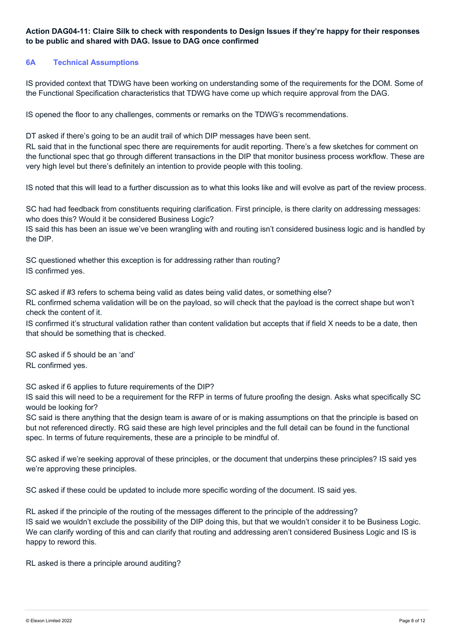## **Action DAG04-11: Claire Silk to check with respondents to Design Issues if they're happy for their responses to be public and shared with DAG. Issue to DAG once confirmed**

## **6A Technical Assumptions**

IS provided context that TDWG have been working on understanding some of the requirements for the DOM. Some of the Functional Specification characteristics that TDWG have come up which require approval from the DAG.

IS opened the floor to any challenges, comments or remarks on the TDWG's recommendations.

DT asked if there's going to be an audit trail of which DIP messages have been sent.

RL said that in the functional spec there are requirements for audit reporting. There's a few sketches for comment on the functional spec that go through different transactions in the DIP that monitor business process workflow. These are very high level but there's definitely an intention to provide people with this tooling.

IS noted that this will lead to a further discussion as to what this looks like and will evolve as part of the review process.

SC had had feedback from constituents requiring clarification. First principle, is there clarity on addressing messages: who does this? Would it be considered Business Logic?

IS said this has been an issue we've been wrangling with and routing isn't considered business logic and is handled by the DIP.

SC questioned whether this exception is for addressing rather than routing? IS confirmed yes.

SC asked if #3 refers to schema being valid as dates being valid dates, or something else? RL confirmed schema validation will be on the payload, so will check that the payload is the correct shape but won't check the content of it.

IS confirmed it's structural validation rather than content validation but accepts that if field X needs to be a date, then that should be something that is checked.

SC asked if 5 should be an 'and' RL confirmed yes.

SC asked if 6 applies to future requirements of the DIP?

IS said this will need to be a requirement for the RFP in terms of future proofing the design. Asks what specifically SC would be looking for?

SC said is there anything that the design team is aware of or is making assumptions on that the principle is based on but not referenced directly. RG said these are high level principles and the full detail can be found in the functional spec. In terms of future requirements, these are a principle to be mindful of.

SC asked if we're seeking approval of these principles, or the document that underpins these principles? IS said yes we're approving these principles.

SC asked if these could be updated to include more specific wording of the document. IS said yes.

RL asked if the principle of the routing of the messages different to the principle of the addressing? IS said we wouldn't exclude the possibility of the DIP doing this, but that we wouldn't consider it to be Business Logic. We can clarify wording of this and can clarify that routing and addressing aren't considered Business Logic and IS is happy to reword this.

RL asked is there a principle around auditing?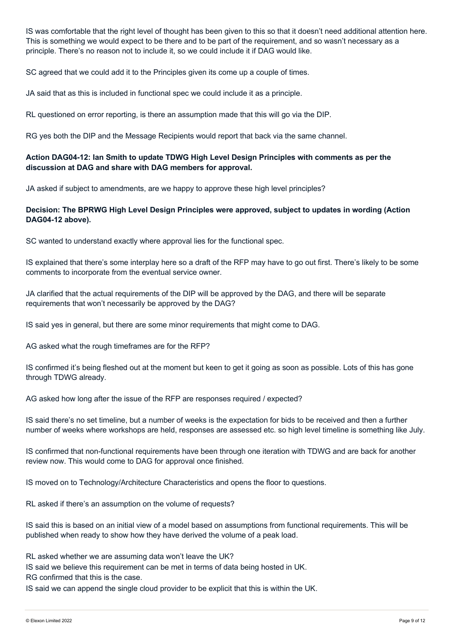IS was comfortable that the right level of thought has been given to this so that it doesn't need additional attention here. This is something we would expect to be there and to be part of the requirement, and so wasn't necessary as a principle. There's no reason not to include it, so we could include it if DAG would like.

SC agreed that we could add it to the Principles given its come up a couple of times.

JA said that as this is included in functional spec we could include it as a principle.

RL questioned on error reporting, is there an assumption made that this will go via the DIP.

RG yes both the DIP and the Message Recipients would report that back via the same channel.

## **Action DAG04-12: Ian Smith to update TDWG High Level Design Principles with comments as per the discussion at DAG and share with DAG members for approval.**

JA asked if subject to amendments, are we happy to approve these high level principles?

## **Decision: The BPRWG High Level Design Principles were approved, subject to updates in wording (Action DAG04-12 above).**

SC wanted to understand exactly where approval lies for the functional spec.

IS explained that there's some interplay here so a draft of the RFP may have to go out first. There's likely to be some comments to incorporate from the eventual service owner.

JA clarified that the actual requirements of the DIP will be approved by the DAG, and there will be separate requirements that won't necessarily be approved by the DAG?

IS said yes in general, but there are some minor requirements that might come to DAG.

AG asked what the rough timeframes are for the RFP?

IS confirmed it's being fleshed out at the moment but keen to get it going as soon as possible. Lots of this has gone through TDWG already.

AG asked how long after the issue of the RFP are responses required / expected?

IS said there's no set timeline, but a number of weeks is the expectation for bids to be received and then a further number of weeks where workshops are held, responses are assessed etc. so high level timeline is something like July.

IS confirmed that non-functional requirements have been through one iteration with TDWG and are back for another review now. This would come to DAG for approval once finished.

IS moved on to Technology/Architecture Characteristics and opens the floor to questions.

RL asked if there's an assumption on the volume of requests?

IS said this is based on an initial view of a model based on assumptions from functional requirements. This will be published when ready to show how they have derived the volume of a peak load.

RL asked whether we are assuming data won't leave the UK?

IS said we believe this requirement can be met in terms of data being hosted in UK.

RG confirmed that this is the case.

IS said we can append the single cloud provider to be explicit that this is within the UK.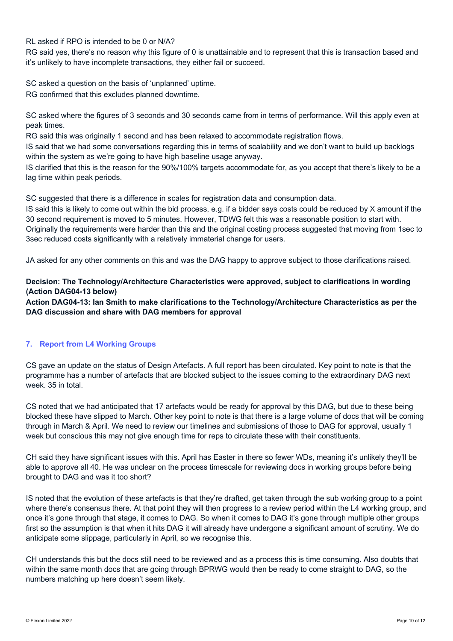RL asked if RPO is intended to be 0 or N/A?

RG said yes, there's no reason why this figure of 0 is unattainable and to represent that this is transaction based and it's unlikely to have incomplete transactions, they either fail or succeed.

SC asked a question on the basis of 'unplanned' uptime.

RG confirmed that this excludes planned downtime.

SC asked where the figures of 3 seconds and 30 seconds came from in terms of performance. Will this apply even at peak times.

RG said this was originally 1 second and has been relaxed to accommodate registration flows.

IS said that we had some conversations regarding this in terms of scalability and we don't want to build up backlogs within the system as we're going to have high baseline usage anyway.

IS clarified that this is the reason for the 90%/100% targets accommodate for, as you accept that there's likely to be a lag time within peak periods.

SC suggested that there is a difference in scales for registration data and consumption data.

IS said this is likely to come out within the bid process, e.g. if a bidder says costs could be reduced by X amount if the 30 second requirement is moved to 5 minutes. However, TDWG felt this was a reasonable position to start with. Originally the requirements were harder than this and the original costing process suggested that moving from 1sec to 3sec reduced costs significantly with a relatively immaterial change for users.

JA asked for any other comments on this and was the DAG happy to approve subject to those clarifications raised.

## **Decision: The Technology/Architecture Characteristics were approved, subject to clarifications in wording (Action DAG04-13 below)**

**Action DAG04-13: Ian Smith to make clarifications to the Technology/Architecture Characteristics as per the DAG discussion and share with DAG members for approval**

## **7. Report from L4 Working Groups**

CS gave an update on the status of Design Artefacts. A full report has been circulated. Key point to note is that the programme has a number of artefacts that are blocked subject to the issues coming to the extraordinary DAG next week. 35 in total.

CS noted that we had anticipated that 17 artefacts would be ready for approval by this DAG, but due to these being blocked these have slipped to March. Other key point to note is that there is a large volume of docs that will be coming through in March & April. We need to review our timelines and submissions of those to DAG for approval, usually 1 week but conscious this may not give enough time for reps to circulate these with their constituents.

CH said they have significant issues with this. April has Easter in there so fewer WDs, meaning it's unlikely they'll be able to approve all 40. He was unclear on the process timescale for reviewing docs in working groups before being brought to DAG and was it too short?

IS noted that the evolution of these artefacts is that they're drafted, get taken through the sub working group to a point where there's consensus there. At that point they will then progress to a review period within the L4 working group, and once it's gone through that stage, it comes to DAG. So when it comes to DAG it's gone through multiple other groups first so the assumption is that when it hits DAG it will already have undergone a significant amount of scrutiny. We do anticipate some slippage, particularly in April, so we recognise this.

CH understands this but the docs still need to be reviewed and as a process this is time consuming. Also doubts that within the same month docs that are going through BPRWG would then be ready to come straight to DAG, so the numbers matching up here doesn't seem likely.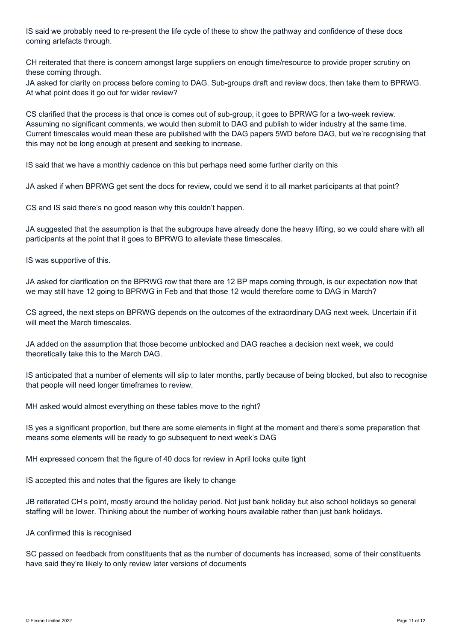IS said we probably need to re-present the life cycle of these to show the pathway and confidence of these docs coming artefacts through.

CH reiterated that there is concern amongst large suppliers on enough time/resource to provide proper scrutiny on these coming through.

JA asked for clarity on process before coming to DAG. Sub-groups draft and review docs, then take them to BPRWG. At what point does it go out for wider review?

CS clarified that the process is that once is comes out of sub-group, it goes to BPRWG for a two-week review. Assuming no significant comments, we would then submit to DAG and publish to wider industry at the same time. Current timescales would mean these are published with the DAG papers 5WD before DAG, but we're recognising that this may not be long enough at present and seeking to increase.

IS said that we have a monthly cadence on this but perhaps need some further clarity on this

JA asked if when BPRWG get sent the docs for review, could we send it to all market participants at that point?

CS and IS said there's no good reason why this couldn't happen.

JA suggested that the assumption is that the subgroups have already done the heavy lifting, so we could share with all participants at the point that it goes to BPRWG to alleviate these timescales.

IS was supportive of this.

JA asked for clarification on the BPRWG row that there are 12 BP maps coming through, is our expectation now that we may still have 12 going to BPRWG in Feb and that those 12 would therefore come to DAG in March?

CS agreed, the next steps on BPRWG depends on the outcomes of the extraordinary DAG next week. Uncertain if it will meet the March timescales.

JA added on the assumption that those become unblocked and DAG reaches a decision next week, we could theoretically take this to the March DAG.

IS anticipated that a number of elements will slip to later months, partly because of being blocked, but also to recognise that people will need longer timeframes to review.

MH asked would almost everything on these tables move to the right?

IS yes a significant proportion, but there are some elements in flight at the moment and there's some preparation that means some elements will be ready to go subsequent to next week's DAG

MH expressed concern that the figure of 40 docs for review in April looks quite tight

IS accepted this and notes that the figures are likely to change

JB reiterated CH's point, mostly around the holiday period. Not just bank holiday but also school holidays so general staffing will be lower. Thinking about the number of working hours available rather than just bank holidays.

JA confirmed this is recognised

SC passed on feedback from constituents that as the number of documents has increased, some of their constituents have said they're likely to only review later versions of documents